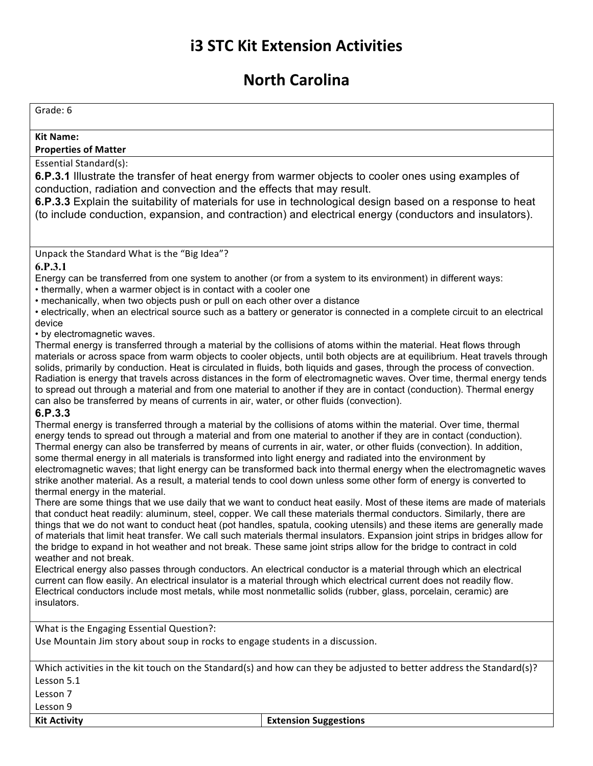# **i3 STC Kit Extension Activities**

## **North Carolina**

### Grade: 6

#### **Kit Name:**

#### **Properties of Matter**

#### Essential Standard(s):

**6.P.3.1** Illustrate the transfer of heat energy from warmer objects to cooler ones using examples of conduction, radiation and convection and the effects that may result.

**6.P.3.3** Explain the suitability of materials for use in technological design based on a response to heat (to include conduction, expansion, and contraction) and electrical energy (conductors and insulators).

Unpack the Standard What is the "Big Idea"?

#### **6.P.3.1**

Energy can be transferred from one system to another (or from a system to its environment) in different ways:

• thermally, when a warmer object is in contact with a cooler one

• mechanically, when two objects push or pull on each other over a distance

• electrically, when an electrical source such as a battery or generator is connected in a complete circuit to an electrical device

• by electromagnetic waves.

Thermal energy is transferred through a material by the collisions of atoms within the material. Heat flows through materials or across space from warm objects to cooler objects, until both objects are at equilibrium. Heat travels through solids, primarily by conduction. Heat is circulated in fluids, both liquids and gases, through the process of convection. Radiation is energy that travels across distances in the form of electromagnetic waves. Over time, thermal energy tends to spread out through a material and from one material to another if they are in contact (conduction). Thermal energy can also be transferred by means of currents in air, water, or other fluids (convection).

#### **6.P.3.3**

Thermal energy is transferred through a material by the collisions of atoms within the material. Over time, thermal energy tends to spread out through a material and from one material to another if they are in contact (conduction). Thermal energy can also be transferred by means of currents in air, water, or other fluids (convection). In addition, some thermal energy in all materials is transformed into light energy and radiated into the environment by electromagnetic waves; that light energy can be transformed back into thermal energy when the electromagnetic waves strike another material. As a result, a material tends to cool down unless some other form of energy is converted to thermal energy in the material.

There are some things that we use daily that we want to conduct heat easily. Most of these items are made of materials that conduct heat readily: aluminum, steel, copper. We call these materials thermal conductors. Similarly, there are things that we do not want to conduct heat (pot handles, spatula, cooking utensils) and these items are generally made of materials that limit heat transfer. We call such materials thermal insulators. Expansion joint strips in bridges allow for the bridge to expand in hot weather and not break. These same joint strips allow for the bridge to contract in cold weather and not break.

Electrical energy also passes through conductors. An electrical conductor is a material through which an electrical current can flow easily. An electrical insulator is a material through which electrical current does not readily flow. Electrical conductors include most metals, while most nonmetallic solids (rubber, glass, porcelain, ceramic) are insulators.

What is the Engaging Essential Question?:

Use Mountain Jim story about soup in rocks to engage students in a discussion.

Which activities in the kit touch on the Standard(s) and how can they be adjusted to better address the Standard(s)? Lesson 5.1

Lesson 7

Lesson 9